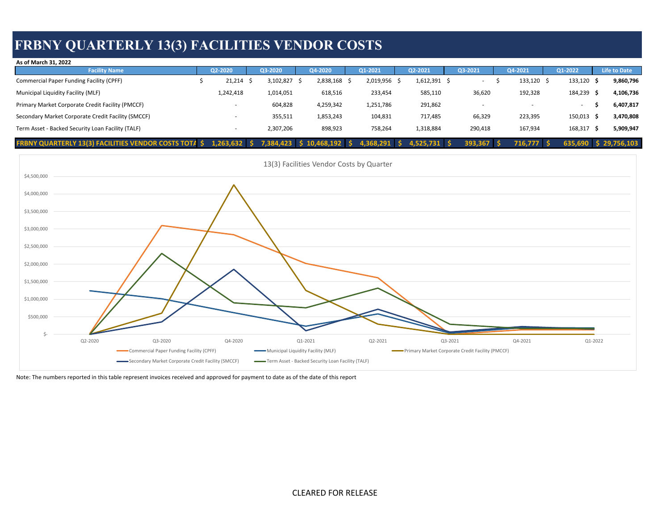## **FRBNY QUARTERLY 13(3) FACILITIES VENDOR COSTS**

| As of March 31, 2022                                         |                |           |                        |              |                |            |            |            |                       |
|--------------------------------------------------------------|----------------|-----------|------------------------|--------------|----------------|------------|------------|------------|-----------------------|
| <b>Facility Name</b>                                         | Q2-2020        | Q3-2020   |                        | Q1-2021      | Q2-2021        | Q3-2021    | Q4-2021    | Q1-2022    | <b>Life to Date</b>   |
| Commercial Paper Funding Facility (CPFF)                     | 21,214         | 3,102,827 | 2,838,168              | 2,019,956 \$ | $1,612,391$ \$ |            | 133,120 \$ | 133,120 \$ | 9,860,796             |
| Municipal Liquidity Facility (MLF)                           | 1,242,418      | 1,014,051 | 618,516                | 233,454      | 585,110        | 36,620     | 192,328    | 184,239    | 4,106,736<br>- S      |
| Primary Market Corporate Credit Facility (PMCCF)             |                | 604,828   | 4,259,342              | 1,251,786    | 291,862        |            |            |            | 6,407,817             |
| Secondary Market Corporate Credit Facility (SMCCF)           |                | 355,511   | 1,853,243              | 104,831      | 717,485        | 66,329     | 223,395    | 150,013    | 3,470,808<br>- 5      |
| Term Asset - Backed Security Loan Facility (TALF)            |                | 2,307,206 | 898,923                | 758,264      | 1,318,884      | 290,418    | 167,934    | 168,317 \$ | 5,909,947             |
| <b>FRBNY QUARTERLY 13(3) FACILITIES VENDOR COSTS TOTA \$</b> | $1,263,632$ \$ |           | 7,384,423 \$10,468,192 | 4,368,291    | 4,525,731 \$   | 393,367 \$ | 716.777    |            | 635.690 \$ 29.756.103 |



Note: The numbers reported in this table represent invoices received and approved for payment to date as of the date of this report

CLEARED FOR RELEASE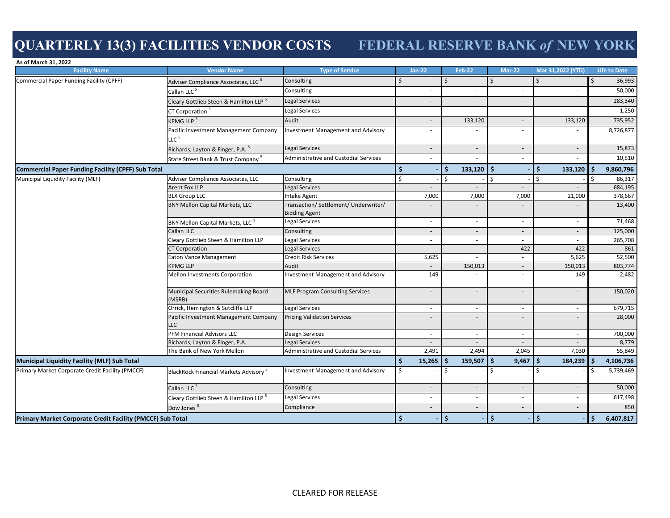# **QUARTERLY 13(3) FACILITIES VENDOR COSTS FEDERAL RESERVE BANK** *of* **NEW YORK**

| As of March 31, 2022<br><b>Facility Name</b>               | <b>Vendor Name</b>                                | <b>Type of Service</b>                                        |                          | <b>Jan-22</b>            | <b>Feb-22</b>            |  | <b>Mar-22</b>            | Mar 31,2022 (YTD)        |                   | <b>Life to Date</b> |
|------------------------------------------------------------|---------------------------------------------------|---------------------------------------------------------------|--------------------------|--------------------------|--------------------------|--|--------------------------|--------------------------|-------------------|---------------------|
| <b>Commercial Paper Funding Facility (CPFF)</b>            | Adviser Compliance Associates, LLC <sup>5</sup>   | Consulting                                                    | Ŝ.                       |                          | Ŝ.                       |  | \$                       | Ŝ.                       | 36,993<br>$\zeta$ |                     |
|                                                            | Callan LLC <sup>5</sup>                           | Consulting                                                    |                          | $\blacksquare$           | $\overline{\phantom{a}}$ |  |                          | $\overline{\phantom{a}}$ |                   | 50,000              |
|                                                            | Cleary Gottlieb Steen & Hamilton LLP <sup>5</sup> | <b>Legal Services</b>                                         |                          | $\overline{\phantom{a}}$ | $\overline{\phantom{a}}$ |  | $\overline{\phantom{a}}$ | $\overline{\phantom{a}}$ |                   | 283,340             |
|                                                            | CT Corporation <sup>5</sup>                       | Legal Services                                                |                          | $\overline{\phantom{a}}$ |                          |  | ٠                        |                          |                   | 1,250               |
|                                                            | KPMG LLP <sup>3</sup>                             | Audit                                                         |                          | $\overline{\phantom{a}}$ | 133,120                  |  | $\overline{\phantom{a}}$ | 133,120                  |                   | 735,952             |
|                                                            | Pacific Investment Management Company             | <b>Investment Management and Advisory</b>                     |                          |                          |                          |  |                          |                          |                   | 8,726,877           |
|                                                            | LLC <sup>5</sup>                                  |                                                               |                          |                          |                          |  |                          |                          |                   |                     |
|                                                            | Richards, Layton & Finger, P.A. <sup>5</sup>      | Legal Services                                                |                          | $\blacksquare$           | $\overline{\phantom{a}}$ |  | $\frac{1}{2}$            |                          |                   | 15,873              |
|                                                            | State Street Bank & Trust Company <sup>5</sup>    | <b>Administrative and Custodial Services</b>                  | $\overline{\phantom{a}}$ |                          | ä,                       |  | ä,                       |                          |                   | 10,510              |
| <b>Commercial Paper Funding Facility (CPFF) Sub Total</b>  |                                                   |                                                               |                          |                          | 133,120<br>.\$           |  | l s                      | \$<br>133,120            | Ŝ.                | 9,860,796           |
| Municipal Liquidity Facility (MLF)                         | Adviser Compliance Associates, LLC                | Consulting                                                    | \$<br>\$                 |                          | l\$                      |  | $\zeta$                  | Ś                        | Ś.                | 86,317              |
|                                                            | Arent Fox LLP                                     | Legal Services                                                |                          |                          |                          |  |                          |                          |                   | 684,195             |
|                                                            | <b>BLX Group LLC</b>                              | Intake Agent                                                  |                          | 7,000                    | 7,000                    |  | 7,000                    | 21,000                   |                   | 378,667             |
|                                                            | <b>BNY Mellon Capital Markets, LLC</b>            | Transaction/ Settlement/ Underwriter/<br><b>Bidding Agent</b> |                          |                          |                          |  |                          |                          |                   | 13,400              |
|                                                            | BNY Mellon Capital Markets, LLC <sup>1</sup>      | Legal Services                                                |                          | $\overline{\phantom{a}}$ | $\sim$                   |  | ÷,                       |                          |                   | 71,468              |
|                                                            | Callan LLC                                        | Consulting                                                    |                          | $\overline{\phantom{a}}$ | $\sim$                   |  | $\sim$                   | $\overline{\phantom{a}}$ |                   | 125,000             |
|                                                            | Cleary Gottlieb Steen & Hamilton LLP              | Legal Services                                                |                          | $\sim$                   | $\sim$                   |  | ÷.                       | $\sim$                   |                   | 265,708             |
|                                                            | <b>CT Corporation</b>                             | Legal Services                                                |                          | $\blacksquare$           | $\overline{a}$           |  | 422                      | 422                      |                   | 861                 |
|                                                            | Eaton Vance Management                            | Credit Risk Services                                          |                          | 5,625                    | $\sim$                   |  | $\sim$                   | 5,625                    |                   | 52,500              |
|                                                            | <b>KPMG LLP</b>                                   | Audit                                                         |                          |                          | 150,013                  |  | $\overline{\phantom{a}}$ | 150,013                  |                   | 803,774             |
|                                                            | Mellon Investments Corporation                    | <b>Investment Management and Advisory</b>                     |                          | 149                      |                          |  | ×.                       | 149                      |                   | 2,482               |
|                                                            | Municipal Securities Rulemaking Board<br>(MSRB)   | <b>MLF Program Consulting Services</b>                        |                          | $\blacksquare$           | $\overline{a}$           |  | $\overline{a}$           |                          |                   | 150,020             |
|                                                            | Orrick, Herrington & Sutcliffe LLP                | Legal Services                                                |                          | $\sim$                   | $\sim$                   |  | $\sim$                   | $\overline{\phantom{a}}$ |                   | 679,715             |
|                                                            | Pacific Investment Management Company<br>LLC      | <b>Pricing Validation Services</b>                            |                          |                          |                          |  |                          |                          |                   | 28,000              |
|                                                            | <b>PFM Financial Advisors LLC</b>                 | Design Services                                               |                          | $\overline{\phantom{a}}$ | $\sim$                   |  | $\sim$                   | $\sim$                   |                   | 700,000             |
|                                                            | Richards, Layton & Finger, P.A.                   | Legal Services                                                |                          | $\overline{\phantom{a}}$ | $\overline{\phantom{a}}$ |  |                          |                          |                   | 8,779               |
|                                                            | The Bank of New York Mellon                       | Administrative and Custodial Services                         |                          | 2,491                    | 2,494                    |  | 2,045                    | 7,030                    |                   | 55,849              |
| <b>Municipal Liquidity Facility (MLF) Sub Total</b>        |                                                   |                                                               | -\$                      | 15,265                   | 159,507<br>∣\$           |  | l \$<br>9,467            | -\$<br>184,239           | l S               | 4,106,736           |
| Primary Market Corporate Credit Facility (PMCCF)           | BlackRock Financial Markets Advisory <sup>5</sup> | <b>Investment Management and Advisory</b>                     | \$                       |                          | Ŝ.                       |  | $\mathsf{\hat{S}}$       | $\zeta$                  | Ś.                | 5,739,469           |
|                                                            | Callan LLC <sup>5</sup>                           | Consulting                                                    |                          | $\overline{\phantom{a}}$ | $\overline{\phantom{a}}$ |  | $\overline{\phantom{a}}$ | $\overline{\phantom{a}}$ |                   | 50,000              |
|                                                            | Cleary Gottlieb Steen & Hamilton LLP <sup>5</sup> | Legal Services                                                |                          | ×.                       | $\sim$                   |  | ÷,                       | $\overline{\phantom{a}}$ |                   | 617,498             |
|                                                            | Dow Jones <sup>5</sup>                            | Compliance                                                    |                          | $\blacksquare$           | $\overline{a}$           |  |                          |                          |                   | 850                 |
| Primary Market Corporate Credit Facility (PMCCF) Sub Total |                                                   |                                                               | Ŝ.                       |                          | l \$                     |  | $\mathsf{S}$             | -\$                      | Ŝ.                | 6,407,817           |